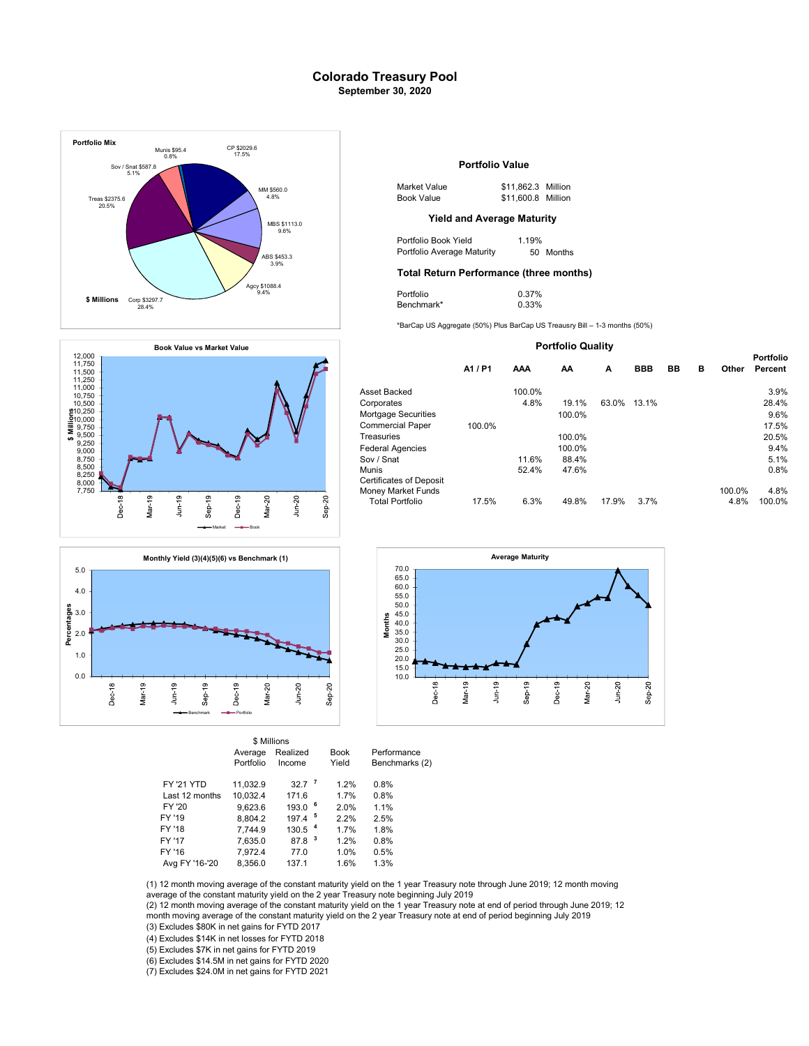## Colorado Treasury Pool September 30, 2020







|                   |           | \$ Millions          |             |                |
|-------------------|-----------|----------------------|-------------|----------------|
|                   | Average   | Realized             | <b>Book</b> | Performance    |
|                   | Portfolio | Income               | Yield       | Benchmarks (2) |
| <b>FY '21 YTD</b> | 11.032.9  | 32.7 <sup>7</sup>    | 1.2%        | 0.8%           |
| Last 12 months    | 10.032.4  | 171.6                | 1.7%        | 0.8%           |
| FY '20            | 9.623.6   | $193.0$ $6$          | 2.0%        | 1.1%           |
| FY '19            | 8.804.2   | $197.4$ <sup>5</sup> | 2.2%        | 2.5%           |
| FY '18            | 7.744.9   | 130.5 <sup>4</sup>   | 1.7%        | 1.8%           |
| FY '17            | 7.635.0   | 87.8 <sup>3</sup>    | 1.2%        | 0.8%           |
| FY '16            | 7,972.4   | 77.0                 | 1.0%        | 0.5%           |
| Avg FY '16-'20    | 8.356.0   | 137.1                | 1.6%        | 1.3%           |

### Portfolio Value

| 1 \$560.0 | Market Value | \$11,862.3 Million |
|-----------|--------------|--------------------|
| 4.8%      | Book Value   | \$11,600.8 Million |

Portfolio Book Yield 1.19%<br>Portfolio Average Maturity 50 Months ABS \$453.3 **Portfolio Average Maturity** 50 Months

### Total Return Performance (three months)

| 9.4% | $-1$<br>'ortfolio | 0.37%     |  |
|------|-------------------|-----------|--|
|      | Benchmark*        | .33%<br>. |  |

\*BarCap US Aggregate (50%) Plus BarCap US Treausry Bill – 1-3 months (50%)

#### Portfolio Quality

Portfolio

|                                               | A1 / P1 | AAA    | АΑ     | A     | <b>BBB</b> | BB | в | Other  | Portfolio<br>Percent |
|-----------------------------------------------|---------|--------|--------|-------|------------|----|---|--------|----------------------|
| Asset Backed                                  |         | 100.0% |        |       |            |    |   |        | 3.9%                 |
| Corporates                                    |         | 4.8%   | 19.1%  | 63.0% | 13.1%      |    |   |        | 28.4%                |
| Mortgage Securities                           |         |        | 100.0% |       |            |    |   |        | 9.6%                 |
| Commercial Paper                              | 100.0%  |        |        |       |            |    |   |        | 17.5%                |
| Treasuries                                    |         |        | 100.0% |       |            |    |   |        | 20.5%                |
| Federal Agencies                              |         |        | 100.0% |       |            |    |   |        | 9.4%                 |
| Sov / Snat                                    |         | 11.6%  | 88.4%  |       |            |    |   |        | 5.1%                 |
| Munis                                         |         | 52.4%  | 47.6%  |       |            |    |   |        | 0.8%                 |
| Certificates of Deposit<br>Money Market Funds |         |        |        |       |            |    |   | 100.0% | 4.8%                 |
| <b>Total Portfolio</b>                        | 17.5%   | 6.3%   | 49.8%  | 17.9% | 3.7%       |    |   | 4.8%   | 100.0%               |



(1) 12 month moving average of the constant maturity yield on the 1 year Treasury note through June 2019; 12 month moving average of the constant maturity yield on the 2 year Treasury note beginning July 2019

(3) Excludes \$80K in net gains for FYTD 2017 (2) 12 month moving average of the constant maturity yield on the 1 year Treasury note at end of period through June 2019; 12 month moving average of the constant maturity yield on the 2 year Treasury note at end of period beginning July 2019

(4) Excludes \$14K in net losses for FYTD 2018

(5) Excludes \$7K in net gains for FYTD 2019

(6) Excludes \$14.5M in net gains for FYTD 2020

(7) Excludes \$24.0M in net gains for FYTD 2021